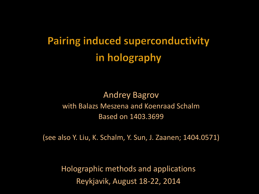**Pairing induced superconductivity** in holography

Andrey Bagrov with Balazs Meszena and Koenraad Schalm Based on 1403.3699

(see also Y. Liu, K. Schalm, Y. Sun, J. Zaanen; 1404.0571)

Holographic methods and applications Reykjavik, August 18-22, 2014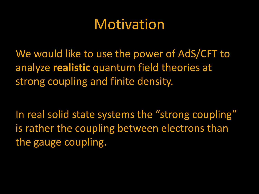#### Motivation

We would like to use the power of AdS/CFT to analyze **realistic** quantum field theories at strong coupling and finite density.

In real solid state systems the "strong coupling" is rather the coupling between electrons than the gauge coupling.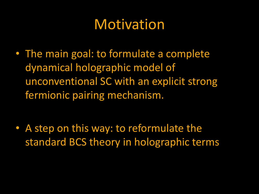#### Motivation

• The main goal: to formulate a complete dynamical holographic model of unconventional SC with an explicit strong fermionic pairing mechanism.

• A step on this way: to reformulate the standard BCS theory in holographic terms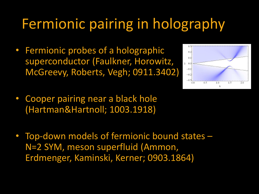## Fermionic pairing in holography

• Fermionic probes of a holographic superconductor (Faulkner, Horowitz, McGreevy, Roberts, Vegh; 0911.3402)



- Cooper pairing near a black hole (Hartman&Hartnoll; 1003.1918)
- Top-down models of fermionic bound states N=2 SYM, meson superfluid (Ammon, Erdmenger, Kaminski, Kerner; 0903.1864)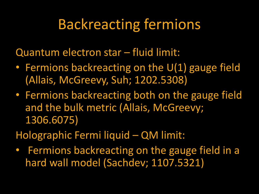#### Backreacting fermions

Quantum electron star – fluid limit:

- Fermions backreacting on the U(1) gauge field (Allais, McGreevy, Suh; 1202.5308)
- Fermions backreacting both on the gauge field and the bulk metric (Allais, McGreevy; 1306.6075)
- Holographic Fermi liquid QM limit:
- Fermions backreacting on the gauge field in a hard wall model (Sachdev; 1107.5321)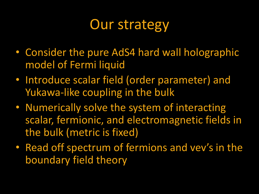#### Our strategy

- Consider the pure AdS4 hard wall holographic model of Fermi liquid
- Introduce scalar field (order parameter) and Yukawa-like coupling in the bulk
- Numerically solve the system of interacting scalar, fermionic, and electromagnetic fields in the bulk (metric is fixed)
- Read off spectrum of fermions and vev's in the boundary field theory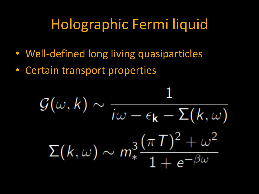### Holographic Fermi liquid

- Well-defined long living quasiparticles
- Certain transport properties

$$
\mathcal{G}(\omega, k) \sim \frac{1}{i\omega - \epsilon_{\mathbf{k}} - \Sigma(k, \omega)}
$$

$$
\Sigma(k, \omega) \sim m_{*}^{3} \frac{(\pi T)^{2} + \omega^{2}}{1 + e^{-\beta \omega}}
$$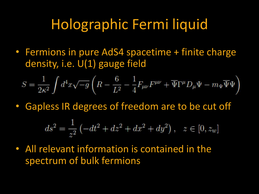#### Holographic Fermi liquid

• Fermions in pure AdS4 spacetime + finite charge density, i.e. U(1) gauge field

$$
S=\frac{1}{2\kappa^2}\int d^4x\sqrt{-g}\left(R-\frac{6}{L^2}-\frac{1}{4}F_{\mu\nu}F^{\mu\nu}+\overline{\Psi}\Gamma^\mu D_\mu\Psi-m_\Psi\overline{\Psi}\Psi\right)
$$

• Gapless IR degrees of freedom are to be cut off

$$
ds^{2} = \frac{1}{z^{2}} \left( -dt^{2} + dz^{2} + dx^{2} + dy^{2} \right), \quad z \in [0, z_{w}]
$$

• All relevant information is contained in the spectrum of bulk fermions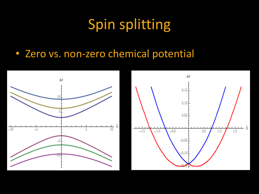# Spin splitting

• Zero vs. non-zero chemical potential



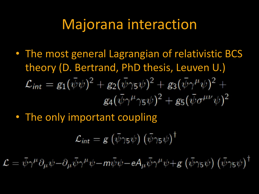#### Majorana interaction

- The most general Lagrangian of relativistic BCS theory (D. Bertrand, PhD thesis, Leuven U.)  $\mathcal{L}_{int} = g_1(\bar{\psi}\psi)^2 + g_2(\bar{\psi}\gamma_5\psi)^2 + g_3(\bar{\psi}\gamma^{\mu}\psi)^2 +$  $g_4(\bar{\psi}\gamma^{\mu}\gamma_5\psi)^2+g_5(\bar{\psi}\sigma^{\mu\nu}\psi)^2$
- The only important coupling

$$
\mathcal{L}_{int} = g\left(\bar{\psi}\gamma_5\psi\right)\left(\bar{\psi}\gamma_5\psi\right)^{\dagger}
$$

 $\mathcal{L} = \bar{\psi}\gamma^{\mu}\partial_{\mu}\psi - \partial_{\mu}\bar{\psi}\gamma^{\mu}\psi - m\bar{\psi}\psi - eA_{\mu}\bar{\psi}\gamma^{\mu}\psi + g(\bar{\psi}\gamma_{5}\psi)(\bar{\psi}\gamma_{5}\psi)^{\dagger}$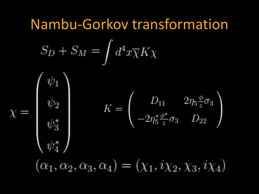# Nambu-Gorkov transformation $S_D + S_M = \int d^4x \overline{\chi} K \chi$  $\chi=\left(\begin{array}{c} \psi_1 \\ \psi_2 \\ \psi_3^* \\ \psi_4^* \end{array}\right)^J$  $K=\left(\begin{array}{cc} D_{11} & 2\eta_5\frac{\phi}{z}\sigma_3\\ -2\eta_5^*\frac{\phi^*}{z}\sigma_3 & D_{22} \end{array}\right)$  $(\alpha_1, \alpha_2, \alpha_3, \alpha_4) = (\chi_1, i\chi_2, \chi_3, i\chi_4)$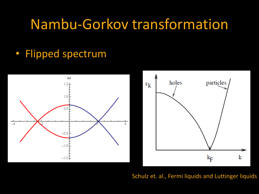#### Nambu-Gorkov transformation

#### • Flipped spectrum





Schulz et. al., Fermi liquids and Luttinger liquids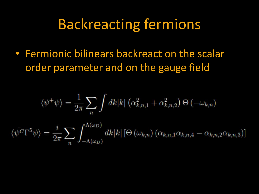#### Backreacting fermions

• Fermionic bilinears backreact on the scalar order parameter and on the gauge field

 $\langle \psi$ 

$$
\langle \psi^+ \psi \rangle = \frac{1}{2\pi} \sum_n \int dk |k| \left( \alpha_{k,n,1}^2 + \alpha_{k,n,2}^2 \right) \Theta \left( -\omega_{k,n} \right)
$$

$$
\langle \Gamma^5 \psi \rangle = \frac{i}{2\pi} \sum_n \int_{-\Lambda(\omega_n)}^{\Lambda(\omega_n)} dk |k| \left[ \Theta \left( \omega_{k,n} \right) \left( \alpha_{k,n,1} \alpha_{k,n,4} - \alpha_{k,n,2} \alpha_{k,n,3} \right) \right]
$$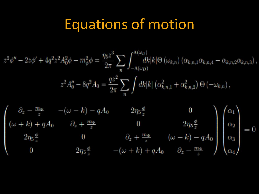#### Equations of motion

$$
z^{2}\phi'' - 2z\phi' + 4q^{2}z^{2}A_{0}^{2}\phi - m_{\phi}^{2}\phi = \frac{\eta_{5}z^{3}}{2\pi} \sum_{n} \int_{-\Lambda(\omega_{D})}^{\Lambda(\omega_{D})} dk|k|\Theta(\omega_{k,n})\left(\alpha_{k,n,1}\alpha_{k,n,4} - \alpha_{k,n,2}\alpha_{k,n,3}\right),
$$

$$
z^{2}A_{0}'' - 8q^{2}A_{0} = \frac{qz^{2}}{2\pi} \sum_{n} \int dk|k|\left(\alpha_{k,n,1}^{2} + \alpha_{k,n,2}^{2}\right)\Theta\left(-\omega_{k,n}\right),
$$

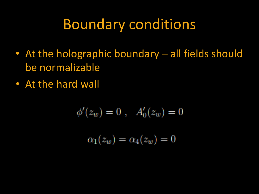#### Boundary conditions

- At the holographic boundary all fields should be normalizable
- At the hard wall

$$
\phi'(z_w) = 0, \quad A'_0(z_w) = 0
$$

$$
\alpha_1(z_w) = \alpha_4(z_w) = 0
$$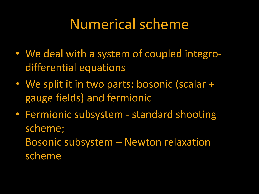#### Numerical scheme

- We deal with a system of coupled integrodifferential equations
- We split it in two parts: bosonic (scalar + gauge fields) and fermionic
- Fermionic subsystem standard shooting scheme;

Bosonic subsystem – Newton relaxation scheme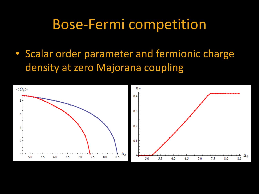#### Bose-Fermi competition

• Scalar order parameter and fermionic charge density at zero Majorana coupling

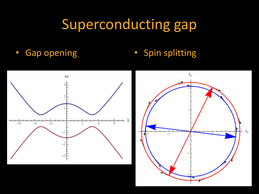# Superconducting gap

• Gap opening • Spin splitting

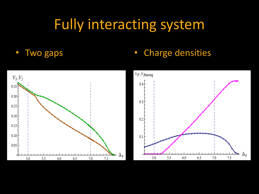#### Fully interacting system

#### • Two gaps • Charge densities

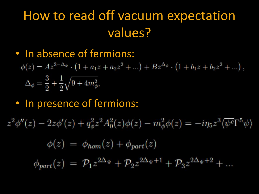- In absence of fermions:
	- $\phi(z) = Az^{3-\Delta_{\phi}} \cdot (1 + a_1 z + a_2 z^2 + ...) + Bz^{\Delta_{\phi}} \cdot (1 + b_1 z + b_2 z^2 + ...)$  $\Delta_{\phi} = \frac{3}{2} + \frac{1}{2} \sqrt{9 + 4m_{\phi}^2},$
- In presence of fermions:

$$
z^{2}\phi''(z) - 2z\phi'(z) + q_{\phi}^{2}z^{2}A_{0}^{2}(z)\phi(z) - m_{\phi}^{2}\phi(z) = -i\eta_{5}z^{3}\langle \overline{\psi^{c}}\Gamma^{5}\psi \rangle
$$

$$
\phi(z) = \phi_{hom}(z) + \phi_{part}(z)
$$

 $\phi_{part}(z) = \mathcal{P}_1 z^{2\Delta_{\Psi}} + \mathcal{P}_2 z^{2\Delta_{\Psi}+1} + \mathcal{P}_3 z^{2\Delta_{\Psi}+2} + ...$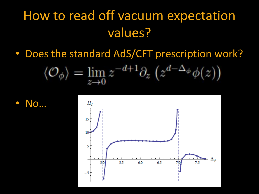• Does the standard AdS/CFT prescription work?

$$
\langle \mathcal{O}_{\phi} \rangle = \lim_{z \to 0} z^{-d+1} \partial_z \left( z^{d-\Delta_{\phi}} \phi(z) \right)
$$



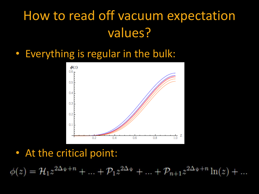#### • Everything is regular in the bulk:



#### • At the critical point:

 $\phi(z) = \mathcal{H}_1 z^{2\Delta_{\Psi}+n} + \ldots + \mathcal{P}_1 z^{2\Delta_{\Psi}} + \ldots + \mathcal{P}_{n+1} z^{2\Delta_{\Psi}+n} \ln(z) + \ldots$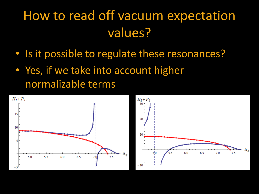- Is it possible to regulate these resonances?
- Yes, if we take into account higher normalizable terms



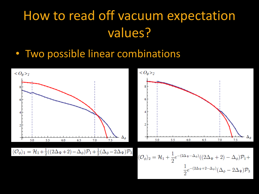• Two possible linear combinations

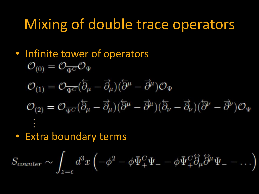#### Mixing of double trace operators

- Infinite tower of operators  $\mathcal{O}_{(0)}=\mathcal{O}_{\overline{\Psi^{C}}}\mathcal{O}_{\Psi}$  $\mathcal{O}_{(1)}=\mathcal{O}_{\overline{\Psi C}}(\overleftarrow{\partial}_{\mu}-\overrightarrow{\partial}_{\mu})(\overleftarrow{\partial}^{\mu}-\overrightarrow{\partial}^{\mu})\mathcal{O}_{\Psi}$  $\mathcal{O}_{(2)}=\mathcal{O}_{\overline{\Psi C}}(\overleftarrow{\partial}_{\mu}-\overrightarrow{\partial}_{\mu})(\overleftarrow{\partial}^{\mu}-\overrightarrow{\partial}^{\mu})(\overleftarrow{\partial}_{\nu}-\overrightarrow{\partial}_{\nu})(\overleftarrow{\partial}^{\nu}-\overrightarrow{\partial}^{\nu})\mathcal{O}_{\Psi}$
- Extra boundary terms

$$
S_{counter} \sim \int_{z=\epsilon} d^3x \left( -\phi^2 - \phi \bar{\Psi}^C_+ \Psi_- - \phi \bar{\Psi}^C_+ \partial_\mu \partial^\mu \Psi_- - \ldots \right)
$$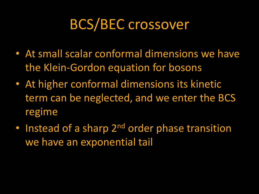#### BCS/BEC crossover

- At small scalar conformal dimensions we have the Klein-Gordon equation for bosons
- At higher conformal dimensions its kinetic term can be neglected, and we enter the BCS regime
- Instead of a sharp 2<sup>nd</sup> order phase transition we have an exponential tail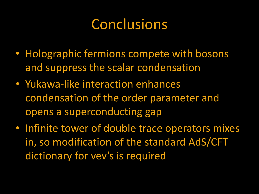#### Conclusions

- Holographic fermions compete with bosons and suppress the scalar condensation
- Yukawa-like interaction enhances condensation of the order parameter and opens a superconducting gap
- Infinite tower of double trace operators mixes in, so modification of the standard AdS/CFT dictionary for vev's is required